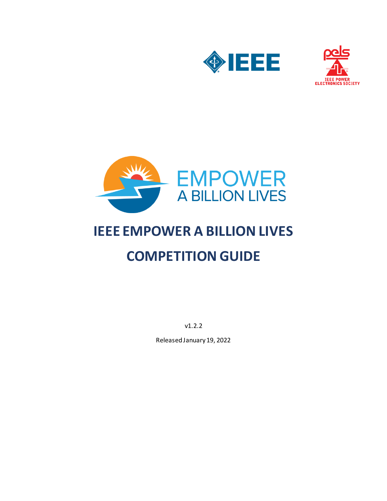





# **IEEE EMPOWER A BILLION LIVES COMPETITION GUIDE**

v1.2.2

Released January 19, 2022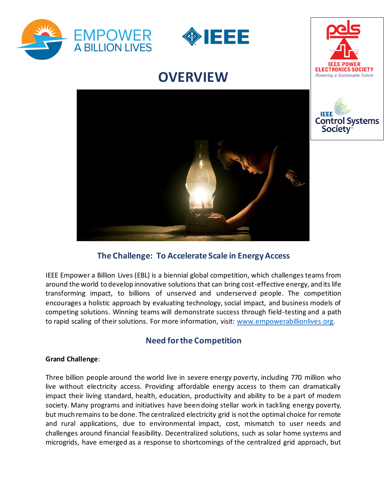



## **OVERVIEW**



**IEEE** 



## **The Challenge: To Accelerate Scale in Energy Access**

IEEE Empower a Billion Lives (EBL) is a biennial global competition, which challenges teams from around the world to develop innovative solutions that can bring cost-effective energy, and its life transforming impact, to billions of unserved and underserved people. The competition encourages a holistic approach by evaluating technology, social impact, and business models of competing solutions. Winning teams will demonstrate success through field-testing and a path to rapid scaling of their solutions. For more information, visit: [www.empowerabillionlives.org.](http://www.empowerabillionlives.org/)

## **Need for the Competition**

#### **Grand Challenge**:

Three billion people around the world live in severe energy poverty, including 770 million who live without electricity access. Providing affordable energy access to them can dramatically impact their living standard, health, education, productivity and ability to be a part of modem society. Many programs and initiatives have been doing stellar work in tackling energy poverty, but much remains to be done. The centralized electricity grid is not the optimal choice for remote and rural applications, due to environmental impact, cost, mismatch to user needs and challenges around financial feasibility. Decentralized solutions, such as solar home systems and microgrids, have emerged as a response to shortcomings of the centralized grid approach, but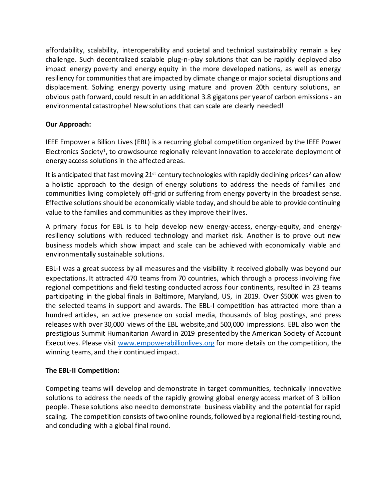affordability, scalability, interoperability and societal and technical sustainability remain a key challenge. Such decentralized scalable plug-n-play solutions that can be rapidly deployed also impact energy poverty and energy equity in the more developed nations, as well as energy resiliency for communities that are impacted by climate change or major societal disruptions and displacement. Solving energy poverty using mature and proven 20th century solutions, an obvious path forward, could result in an additional 3.8 gigatons per year of carbon emissions - an environmental catastrophe! New solutions that can scale are clearly needed!

#### **Our Approach:**

IEEE Empower a Billion Lives (EBL) is a recurring global competition organized by the IEEE Power Electronics Society<sup>1</sup>, to crowdsource regionally relevant innovation to accelerate deployment of energy access solutions in the affected areas.

It is anticipated that fast moving  $21^{st}$  century technologies with rapidly declining prices<sup>2</sup> can allow a holistic approach to the design of energy solutions to address the needs of families and communities living completely off-grid or suffering from energy poverty in the broadest sense. Effective solutions should be economically viable today, and should be able to provide continuing value to the families and communities as they improve their lives.

A primary focus for EBL is to help develop new energy-access, energy-equity, and energyresiliency solutions with reduced technology and market risk. Another is to prove out new business models which show impact and scale can be achieved with economically viable and environmentally sustainable solutions.

EBL-I was a great success by all measures and the visibility it received globally was beyond our expectations. It attracted 470 teams from 70 countries, which through a process involving five regional competitions and field testing conducted across four continents, resulted in 23 teams participating in the global finals in Baltimore, Maryland, US, in 2019. Over \$500K was given to the selected teams in support and awards. The EBL-I competition has attracted more than a hundred articles, an active presence on social media, thousands of blog postings, and press releases with over 30,000 views of the EBL website,and 500,000 impressions. EBL also won the prestigious Summit Humanitarian Award in 2019 presented by the American Society of Account Executives. Please visit [www.empowerabillionlives.org](http://www.empowerabillionlives.org/) for more details on the competition, the winning teams, and their continued impact.

#### **The EBL-II Competition:**

Competing teams will develop and demonstrate in target communities, technically innovative solutions to address the needs of the rapidly growing global energy access market of 3 billion people. These solutions also need to demonstrate business viability and the potential for rapid scaling. The competition consists of two online rounds, followed by a regional field-testing round, and concluding with a global final round.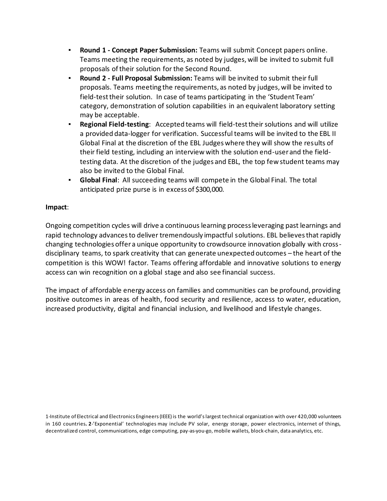- **Round 1 - Concept Paper Submission:** Teams will submit Concept papers online. Teams meeting the requirements, as noted by judges, will be invited to submit full proposals of their solution for the Second Round.
- **Round 2 - Full Proposal Submission:** Teams will be invited to submit their full proposals. Teams meeting the requirements, as noted by judges, will be invited to field-test their solution. In case of teams participating in the 'Student Team' category, demonstration of solution capabilities in an equivalent laboratory setting may be acceptable.
- **Regional Field-testing**: Accepted teams will field-test their solutions and will utilize a provided data-logger for verification. Successful teams will be invited to the EBL II Global Final at the discretion of the EBL Judges where they will show the results of their field testing, including an interview with the solution end-user and the fieldtesting data. At the discretion of the judges and EBL, the top few student teams may also be invited to the Global Final.
- **Global Final**: All succeeding teams will compete in the Global Final. The total anticipated prize purse is in excess of \$300,000.

#### **Impact**:

Ongoing competition cycles will drive a continuous learning process leveraging past learnings and rapid technology advances to deliver tremendously impactful solutions. EBL believes that rapidly changing technologies offer a unique opportunity to crowdsource innovation globally with crossdisciplinary teams, to spark creativity that can generate unexpected outcomes – the heart of the competition is this WOW! factor. Teams offering affordable and innovative solutions to energy access can win recognition on a global stage and also see financial success.

The impact of affordable energy access on families and communities can be profound, providing positive outcomes in areas of health, food security and resilience, access to water, education, increased productivity, digital and financial inclusion, and livelihood and lifestyle changes.

1-Institute of Electrical and Electronics Engineers (IEEE) is the world's largest technical organization with over 420,000 volunteers in 160 countries**. 2**-'Exponential' technologies may include PV solar, energy storage, power electronics, internet of things, decentralized control, communications, edge computing, pay-as-you-go, mobile wallets, block-chain, data analytics, etc.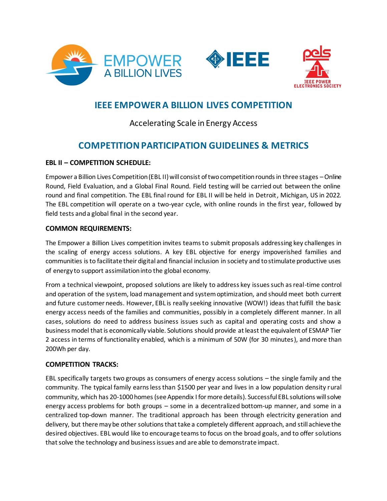



## **IEEE EMPOWER A BILLION LIVES COMPETITION**

## Accelerating Scale in Energy Access

## **COMPETITION PARTICIPATION GUIDELINES & METRICS**

#### **EBL II – COMPETITION SCHEDULE:**

Empower a Billion Lives Competition (EBL II) will consist of two competition rounds in three stages –Online Round, Field Evaluation, and a Global Final Round. Field testing will be carried out between the online round and final competition. The EBL final round for EBL II will be held in Detroit, Michigan, US in 2022. The EBL competition will operate on a two-year cycle, with online rounds in the first year, followed by field tests and a global final in the second year.

#### **COMMON REQUIREMENTS:**

The Empower a Billion Lives competition invites teams to submit proposals addressing key challenges in the scaling of energy access solutions. A key EBL objective for energy impoverished families and communities is to facilitate their digital and financial inclusion in society and to stimulate productive uses of energy to support assimilation into the global economy.

From a technical viewpoint, proposed solutions are likely to address key issues such as real-time control and operation of the system, load management and system optimization, and should meet both current and future customer needs. However, EBL is really seeking innovative (WOW!) ideas that fulfill the basic energy access needs of the families and communities, possibly in a completely different manner. In all cases, solutions do need to address business issues such as capital and operating costs and show a business model that is economically viable. Solutions should provide at least the equivalent of ESMAP Tier 2 access in terms of functionality enabled, which is a minimum of 50W (for 30 minutes), and more than 200Wh per day.

#### **COMPETITION TRACKS:**

EBL specifically targets two groups as consumers of energy access solutions – the single family and the community. The typical family earns less than \$1500 per year and lives in a low population density rural community, which has 20-1000 homes (see Appendix I for more details). Successful EBL solutions will solve energy access problems for both groups – some in a decentralized bottom-up manner, and some in a centralized top-down manner. The traditional approach has been through electricity generation and delivery, but there may be other solutions that take a completely different approach, and still achieve the desired objectives. EBL would like to encourage teams to focus on the broad goals, and to offer solutions that solve the technology and business issues and are able to demonstrate impact.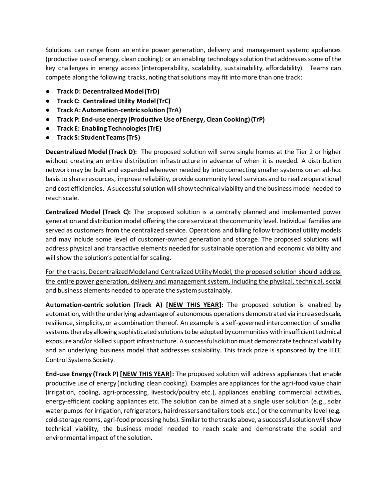Solutions can range from an entire power generation, delivery and management system; appliances (productive use of energy, clean cooking); or an enabling technology solution that addresses some of the key challenges in energy access (interoperability, scalability, sustainability, affordability). Teams can compete along the following tracks, noting that solutions may fit into more than one track:

- **Track D: Decentralized Model (TrD)**
- **Track C: Centralized Utility Model (TrC)**
- **Track A: Automation-centric solution (TrA)**
- **Track P: End-use energy (Productive Use of Energy, Clean Cooking) (TrP)**
- **Track E: Enabling Technologies (TrE)**
- **Track S: Student Teams (TrS)**

**Decentralized Model (Track D):** The proposed solution will serve single homes at the Tier 2 or higher without creating an entire distribution infrastructure in advance of when it is needed. A distribution network may be built and expanded whenever needed by interconnecting smaller systems on an ad-hoc basis to share resources, improve reliability, provide community level services and to realize operational and cost efficiencies. A successful solution will show technical viability and the business model needed to reach scale.

**Centralized Model (Track C):** The proposed solution is a centrally planned and implemented power generation and distribution model offering the core service at the community level. Individual families are served as customers from the centralized service. Operations and billing follow traditional utility models and may include some level of customer-owned generation and storage. The proposed solutions will address physical and transactive elements needed for sustainable operation and economic viability and will show the solution's potential for scaling.

For the tracks, Decentralized Model and Centralized Utility Model, the proposed solution should address the entire power generation, delivery and management system, including the physical, technical, social and business elements needed to operate the system sustainably.

**Automation-centric solution (Track A) [NEW THIS YEAR]:** The proposed solution is enabled by automation, with the underlying advantage of autonomous operations demonstrated via increased scale, resilience, simplicity, or a combination thereof. An example is a self-governed interconnection of smaller systems thereby allowing sophisticated solutions to be adopted by communities with insufficient technical exposure and/or skilled support infrastructure. A successful solution must demonstrate technical viability and an underlying business model that addresses scalability. This track prize is sponsored by the IEEE Control Systems Society.

**End-use Energy (Track P) [NEW THIS YEAR]:** The proposed solution will address appliances that enable productive use of energy (including clean cooking). Examples are appliances for the agri-food value chain (irrigation, cooling, agri-processing, livestock/poultry etc.), appliances enabling commercial activities, energy-efficient cooking appliances etc. The solution can be aimed at a single user solution (e.g., solar water pumps for irrigation, refrigerators, hairdressers and tailors tools etc.) or the community level (e.g. cold-storage rooms, agri-food processing hubs). Similar to the tracks above, a successful solution will show technical viability, the business model needed to reach scale and demonstrate the social and environmental impact of the solution.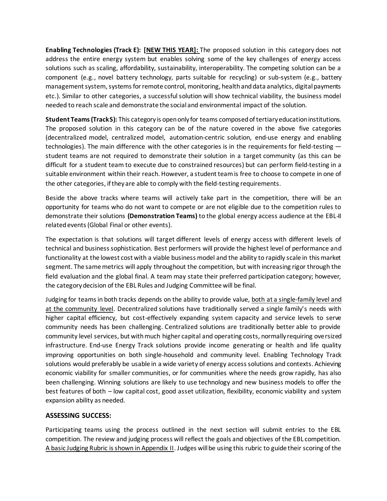**Enabling Technologies (Track E): [NEW THIS YEAR]:** The proposed solution in this category does not address the entire energy system but enables solving some of the key challenges of energy access solutions such as scaling, affordability, sustainability, interoperability. The competing solution can be a component (e.g., novel battery technology, parts suitable for recycling) or sub-system (e.g., battery management system, systems for remote control, monitoring, health and data analytics, digital payments etc.). Similar to other categories, a successful solution will show technical viability, the business model needed to reach scale and demonstrate the social and environmental impact of the solution.

**Student Teams (Track S):** This category is open only for teams composed of tertiary education institutions. The proposed solution in this category can be of the nature covered in the above five categories (decentralized model, centralized model, automation-centric solution, end-use energy and enabling technologies). The main difference with the other categories is in the requirements for field-testing student teams are not required to demonstrate their solution in a target community (as this can be difficult for a student team to execute due to constrained resources) but can perform field-testing in a suitable environment within their reach. However, a student team is free to choose to compete in one of the other categories, if they are able to comply with the field-testing requirements.

Beside the above tracks where teams will actively take part in the competition, there will be an opportunity for teams who do not want to compete or are not eligible due to the competition rules to demonstrate their solutions **(Demonstration Teams)** to the global energy access audience at the EBL-II related events (Global Final or other events).

The expectation is that solutions will target different levels of energy access with different levels of technical and business sophistication. Best performers will provide the highest level of performance and functionality at the lowest cost with a viable business model and the ability to rapidly scale in this market segment. The same metrics will apply throughout the competition, but with increasing rigor through the field evaluation and the global final. A team may state their preferred participation category; however, the category decision of the EBL Rules and Judging Committee will be final.

Judging for teams in both tracks depends on the ability to provide value, both at a single-family level and at the community level. Decentralized solutions have traditionally served a single family's needs with higher capital efficiency, but cost-effectively expanding system capacity and service levels to serve community needs has been challenging. Centralized solutions are traditionally better able to provide community level services, but with much higher capital and operating costs, normally requiring oversized infrastructure. End-use Energy Track solutions provide income generating or health and life quality improving opportunities on both single-household and community level. Enabling Technology Track solutions would preferably be usable in a wide variety of energy access solutions and contexts. Achieving economic viability for smaller communities, or for communities where the needs grow rapidly, has also been challenging. Winning solutions are likely to use technology and new business models to offer the best features of both – low capital cost, good asset utilization, flexibility, economic viability and system expansion ability as needed.

#### **ASSESSING SUCCESS:**

Participating teams using the process outlined in the next section will submit entries to the EBL competition. The review and judging process will reflect the goals and objectives of the EBL competition. A basic Judging Rubric is shown in Appendix II. Judges will be using this rubric to guide their scoring of the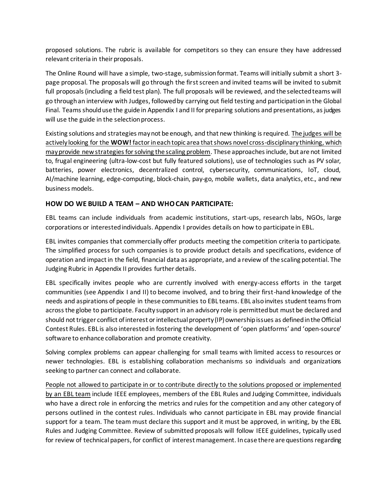proposed solutions. The rubric is available for competitors so they can ensure they have addressed relevant criteria in their proposals.

The Online Round will have a simple, two-stage, submission format. Teams will initially submit a short 3 page proposal. The proposals will go through the first screen and invited teams will be invited to submit full proposals (including a field test plan). The full proposals will be reviewed, and the selected teams will go through an interview with Judges, followed by carrying out field testing and participation in the Global Final. Teams should use the guide in Appendix I and II for preparing solutions and presentations, as judges will use the guide in the selection process.

Existing solutions and strategies may not be enough, and that new thinking is required. The judges will be actively looking for the **WOW!** factor in each topic area that shows novel cross-disciplinary thinking, which may provide new strategies for solving the scaling problem. These approaches include, but are not limited to, frugal engineering (ultra-low-cost but fully featured solutions), use of technologies such as PV solar, batteries, power electronics, decentralized control, cybersecurity, communications, IoT, cloud, AI/machine learning, edge-computing, block-chain, pay-go, mobile wallets, data analytics, etc., and new business models.

#### **HOW DO WE BUILD A TEAM – AND WHO CAN PARTICIPATE:**

EBL teams can include individuals from academic institutions, start-ups, research labs, NGOs, large corporations or interested individuals. Appendix I provides details on how to participate in EBL.

EBL invites companies that commercially offer products meeting the competition criteria to participate. The simplified process for such companies is to provide product details and specifications, evidence of operation and impact in the field, financial data as appropriate, and a review of the scaling potential. The Judging Rubric in Appendix II provides further details.

EBL specifically invites people who are currently involved with energy-access efforts in the target communities (see Appendix I and II) to become involved, and to bring their first-hand knowledge of the needs and aspirations of people in these communities to EBL teams. EBL also invites student teams from across the globe to participate. Faculty support in an advisory role is permitted but must be declared and should not trigger conflict of interest or intellectual property (IP) ownership issues as defined in the Official Contest Rules. EBL is also interested in fostering the development of 'open platforms' and 'open-source' software to enhance collaboration and promote creativity.

Solving complex problems can appear challenging for small teams with limited access to resources or newer technologies. EBL is establishing collaboration mechanisms so individuals and organizations seeking to partner can connect and collaborate.

People not allowed to participate in or to contribute directly to the solutions proposed or implemented by an EBL team include IEEE employees, members of the EBL Rules and Judging Committee, individuals who have a direct role in enforcing the metrics and rules for the competition and any other category of persons outlined in the contest rules. Individuals who cannot participate in EBL may provide financial support for a team. The team must declare this support and it must be approved, in writing, by the EBL Rules and Judging Committee. Review of submitted proposals will follow IEEE guidelines, typically used for review of technical papers, for conflict of interest management. In case there are questions regarding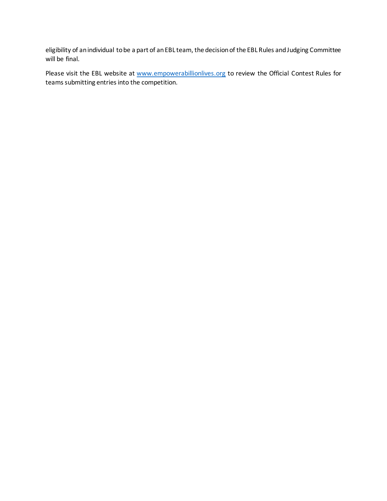eligibility of an individual to be a part of an EBL team, the decision of the EBL Rules and Judging Committee will be final.

Please visit the EBL website at [www.empowerabillionlives.org](http://www.empowerabillionlives.org/) to review the Official Contest Rules for teams submitting entries into the competition.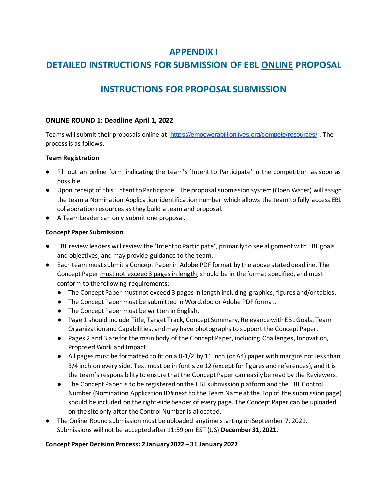## **APPENDIX I**

## **DETAILED INSTRUCTIONS FOR SUBMISSION OF EBL ONLINE PROPOSAL**

## **INSTRUCTIONS FOR PROPOSAL SUBMISSION**

#### **ONLINE ROUND 1: Deadline April 1, 2022**

Teams will submit their proposals online at <https://empowerabillionlives.org/compete/resources/> . The process is as follows.

#### **Team Registration**

- Fill out an online form indicating the team's 'Intent to Participate' in the competition as soon as possible.
- Upon receipt of this 'Intent to Participate', The proposal submission system (Open Water) will assign the team a Nomination Application identification number which allows the team to fully access EBL collaboration resources as they build a team and proposal.
- A Team Leader can only submit one proposal.

#### **Concept Paper Submission**

- EBL review leaders will review the 'Intent to Participate', primarily to see alignment with EBL goals and objectives, and may provide guidance to the team.
- Each team must submit a Concept Paper in Adobe PDF format by the above stated deadline. The Concept Paper must not exceed 3 pages in length, should be in the format specified, and must conform to the following requirements:
	- The Concept Paper must not exceed 3 pages in length including graphics, figures and/or tables.
	- The Concept Paper must be submitted in Word.doc or Adobe PDF format.
	- The Concept Paper must be written in English.
	- Page 1 should include Title, Target Track, Concept Summary, Relevance with EBL Goals, Team Organization and Capabilities, and may have photographs to support the Concept Paper.
	- Pages 2 and 3 are for the main body of the Concept Paper, including Challenges, Innovation, Proposed Work and Impact.
	- All pages must be formatted to fit on a 8-1/2 by 11 inch (or A4) paper with margins not less than 3/4 inch on every side. Text must be in font size 12 (except for figures and references), and it is the team's responsibility to ensure that the Concept Paper can easily be read by the Reviewers.
	- The Concept Paper is to be registered on the EBL submission platform and the EBL Control Number (Nomination Application ID# next to the Team Name at the Top of the submission page) should be included on the right-side header of every page. The Concept Paper can be uploaded on the site only after the Control Number is allocated.
- The Online Round submission must be uploaded anytime starting on September 7, 2021. Submissions will not be accepted after 11:59 pm EST (US) **December 31, 2021**.

#### **Concept Paper Decision Process: 2 January 2022 – 31 January 2022**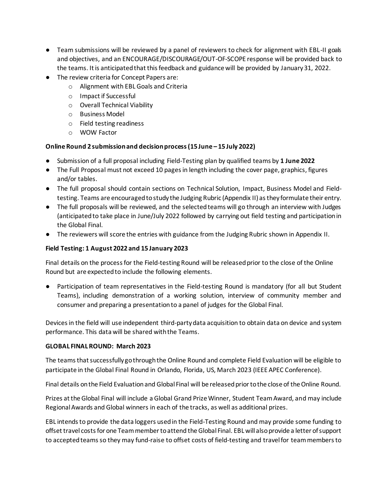- Team submissions will be reviewed by a panel of reviewers to check for alignment with EBL-II goals and objectives, and an ENCOURAGE/DISCOURAGE/OUT-OF-SCOPE response will be provided back to the teams. It is anticipated that this feedback and guidance will be provided by January 31, 2022.
- The review criteria for Concept Papers are:
	- o Alignment with EBL Goals and Criteria
	- o Impact if Successful
	- o Overall Technical Viability
	- o Business Model
	- o Field testing readiness
	- o WOW Factor

#### **Online Round 2 submission and decision process (15 June – 15 July 2022)**

- Submission of a full proposal including Field-Testing plan by qualified teams by **1 June 2022**
- The Full Proposal must not exceed 10 pages in length including the cover page, graphics, figures and/or tables.
- The full proposal should contain sections on Technical Solution, Impact, Business Model and Fieldtesting. Teams are encouraged to study the Judging Rubric (Appendix II) as they formulate their entry.
- The full proposals will be reviewed, and the selected teams will go through an interview with Judges (anticipated to take place in June/July 2022 followed by carrying out field testing and participation in the Global Final.
- The reviewers will score the entries with guidance from the Judging Rubric shown in Appendix II.

#### **Field Testing: 1 August 2022 and 15 January 2023**

Final details on the process for the Field-testing Round will be released prior to the close of the Online Round but are expected to include the following elements.

● Participation of team representatives in the Field-testing Round is mandatory (for all but Student Teams), including demonstration of a working solution, interview of community member and consumer and preparing a presentation to a panel of judges for the Global Final.

Devices in the field will use independent third-party data acquisition to obtain data on device and system performance. This data will be shared with the Teams.

#### **GLOBAL FINAL ROUND: March 2023**

The teams that successfully go through the Online Round and complete Field Evaluation will be eligible to participate in the Global Final Round in Orlando, Florida, US, March 2023 (IEEE APEC Conference).

Final details on the Field Evaluation and Global Final will be released prior to the close of the Online Round.

Prizes at the Global Final will include a Global Grand Prize Winner, Student Team Award, and may include Regional Awards and Global winners in each of the tracks, as well as additional prizes.

EBL intends to provide the data loggers used in the Field-Testing Round and may provide some funding to offset travel costs for one Team member to attend the Global Final. EBL will also provide a letter of support to accepted teams so they may fund-raise to offset costs of field-testing and travel for team members to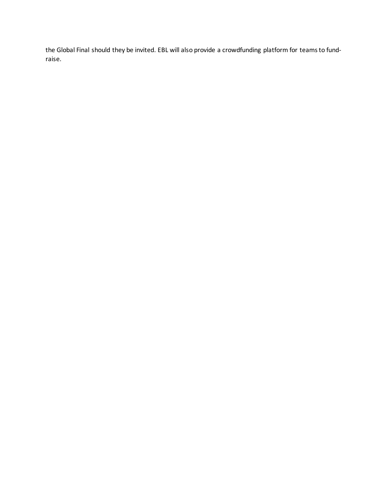the Global Final should they be invited. EBL will also provide a crowdfunding platform for teams to fundraise.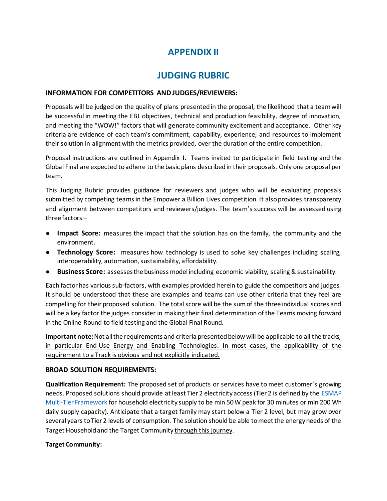## **APPENDIX II**

## **JUDGING RUBRIC**

#### **INFORMATION FOR COMPETITORS AND JUDGES/REVIEWERS:**

Proposals will be judged on the quality of plans presented in the proposal, the likelihood that a team will be successful in meeting the EBL objectives, technical and production feasibility, degree of innovation, and meeting the "WOW!" factors that will generate community excitement and acceptance. Other key criteria are evidence of each team's commitment, capability, experience, and resources to implement their solution in alignment with the metrics provided, over the duration of the entire competition.

Proposal instructions are outlined in Appendix I. Teams invited to participate in field testing and the Global Final are expected to adhere to the basic plans described in their proposals. Only one proposal per team.

This Judging Rubric provides guidance for reviewers and judges who will be evaluating proposals submitted by competing teams in the Empower a Billion Lives competition. It also provides transparency and alignment between competitors and reviewers/judges. The team's success will be assessed using three factors –

- **Impact Score:** measures the impact that the solution has on the family, the community and the environment.
- **Technology Score:** measures how technology is used to solve key challenges including scaling, interoperability, automation, sustainability, affordability.
- **Business Score:** assesses the business model including economic viability, scaling & sustainability.

Each factor has various sub-factors, with examples provided herein to guide the competitors and judges. It should be understood that these are examples and teams can use other criteria that they feel are compelling for their proposed solution. The total score will be the sum of the three individual scores and will be a key factor the judges consider in making their final determination of the Teams moving forward in the Online Round to field testing and the Global Final Round.

**Important note:** Not all the requirements and criteria presented below will be applicable to all the tracks, in particular End-Use Energy and Enabling Technologies. In most cases, the applicability of the requirement to a Track is obvious and not explicitly indicated.

#### **BROAD SOLUTION REQUIREMENTS:**

**Qualification Requirement:** The proposed set of products or services have to meet customer's growing needs. Proposed solutions should provide at least Tier 2 electricity access (Tier 2 is defined by the [ESMAP](https://www.esmap.org/node/55526)  [Multi-Tier Framework](https://www.esmap.org/node/55526) for household electricity supply to be min 50 W peak for 30 minutes or min 200 Wh daily supply capacity). Anticipate that a target family may start below a Tier 2 level, but may grow over several years to Tier 2 levels of consumption. The solution should be able to meet the energy needs of the Target Household and the Target Community through this journey.

#### **Target Community:**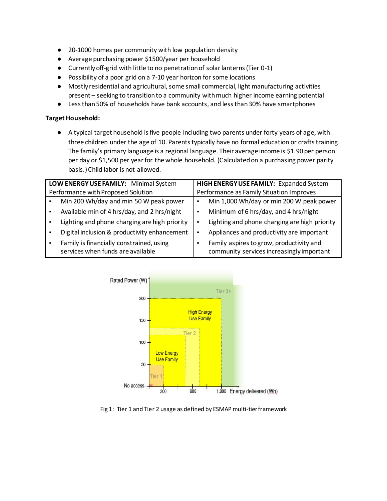- 20-1000 homes per community with low population density
- Average purchasing power \$1500/year per household
- Currently off-grid with little to no penetration of solar lanterns (Tier 0-1)
- Possibility of a poor grid on a 7-10 year horizon for some locations
- Mostly residential and agricultural, some small commercial, light manufacturing activities present – seeking to transition to a community with much higher income earning potential
- Less than 50% of households have bank accounts, and less than 30% have smartphones

#### **Target Household:**

● A typical target household is five people including two parents under forty years of age, with three children under the age of 10. Parents typically have no formal education or crafts training. The family's primary language is a regional language. Their average income is \$1.90 per person per day or \$1,500 per year for the whole household. (Calculated on a purchasing power parity basis.) Child labor is not allowed.

| LOW ENERGY USE FAMILY: Minimal System |                                                                               | HIGH ENERGY USE FAMILY: Expanded System  |                                                                                       |
|---------------------------------------|-------------------------------------------------------------------------------|------------------------------------------|---------------------------------------------------------------------------------------|
| Performance with Proposed Solution    |                                                                               | Performance as Family Situation Improves |                                                                                       |
|                                       | Min 200 Wh/day and min 50 W peak power                                        | ٠                                        | Min 1,000 Wh/day or min 200 W peak power                                              |
|                                       | Available min of 4 hrs/day, and 2 hrs/night                                   | $\blacksquare$                           | Minimum of 6 hrs/day, and 4 hrs/night                                                 |
|                                       | Lighting and phone charging are high priority                                 | ٠                                        | Lighting and phone charging are high priority                                         |
|                                       | Digital inclusion & productivity enhancement                                  | $\blacksquare$                           | Appliances and productivity are important                                             |
|                                       | Family is financially constrained, using<br>services when funds are available |                                          | Family aspires to grow, productivity and<br>community services increasingly important |



Fig 1: Tier 1 and Tier 2 usage as defined by ESMAP multi-tier framework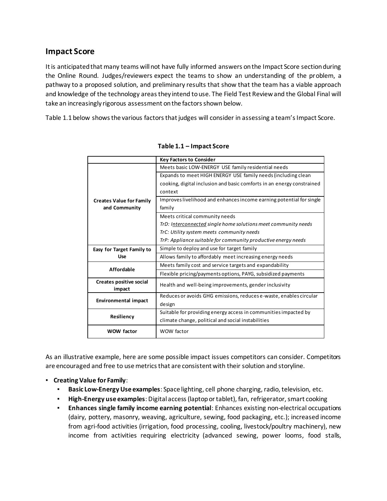## **Impact Score**

It is anticipated that many teams will not have fully informed answers on the Impact Score section during the Online Round. Judges/reviewers expect the teams to show an understanding of the problem, a pathway to a proposed solution, and preliminary results that show that the team has a viable approach and knowledge of the technology areas they intend to use. The Field Test Review and the Global Final will take an increasingly rigorous assessment on the factors shown below.

Table 1.1 below shows the various factors that judges will consider in assessing a team's Impact Score.

|                                          | <b>Key Factors to Consider</b>                                         |
|------------------------------------------|------------------------------------------------------------------------|
|                                          | Meets basic LOW-ENERGY USE family residential needs                    |
|                                          | Expands to meet HIGH ENERGY USE family needs (including clean          |
|                                          | cooking, digital inclusion and basic comforts in an energy constrained |
|                                          | context                                                                |
| <b>Creates Value for Family</b>          | Improves livelihood and enhances income earning potential for single   |
| and Community                            | family                                                                 |
|                                          | Meets critical community needs                                         |
|                                          | TrD: Interconnected single home solutions meet community needs         |
|                                          | TrC: Utility system meets community needs                              |
|                                          | TrP: Appliance suitable for community productive energy needs          |
| Easy for Target Family to                | Simple to deploy and use for target family                             |
| Use                                      | Allows family to affordably meet increasing energy needs               |
| Affordable                               | Meets family cost and service targets and expandability                |
|                                          | Flexible pricing/payments options, PAYG, subsidized payments           |
| <b>Creates positive social</b><br>impact | Health and well-being improvements, gender inclusivity                 |
|                                          | Reduces or avoids GHG emissions, reduces e-waste, enables circular     |
| <b>Environmental impact</b>              | design                                                                 |
|                                          | Suitable for providing energy access in communities impacted by        |
| Resiliency                               | climate change, political and social instabilities                     |
| <b>WOW factor</b>                        | WOW factor                                                             |

As an illustrative example, here are some possible impact issues competitors can consider. Competitors are encouraged and free to use metrics that are consistent with their solution and storyline.

- **Creating Value for Family**:
	- Basic Low-Energy Use examples: Space lighting, cell phone charging, radio, television, etc.
	- **High-Energy use examples**: Digital access (laptop or tablet), fan, refrigerator, smart cooking
	- **Enhances single family income earning potential**: Enhances existing non-electrical occupations (dairy, pottery, masonry, weaving, agriculture, sewing, food packaging, etc.); increased income from agri-food activities (irrigation, food processing, cooling, livestock/poultry machinery), new income from activities requiring electricity (advanced sewing, power looms, food stalls,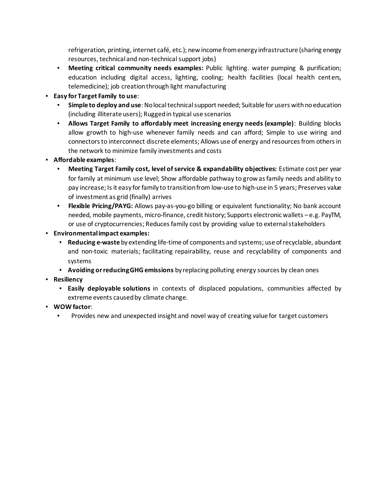refrigeration, printing, internet café, etc.); new income from energy infrastructure (sharing energy resources, technical and non-technical support jobs)

- **Meeting critical community needs examples:** Public lighting. water pumping & purification; education including digital access, lighting, cooling; health facilities (local health centers, telemedicine); job creation through light manufacturing
- **Easy for Target Family to use**:
	- **Simple to deploy and use**: No local technical support needed; Suitable for users with no education (including illiterate users); Rugged in typical use scenarios
	- **Allows Target Family to affordably meet increasing energy needs (example)**: Building blocks allow growth to high-use whenever family needs and can afford; Simple to use wiring and connectors to interconnect discrete elements; Allows use of energy and resources from others in the network to minimize family investments and costs
- **Affordable examples**:
	- **Meeting Target Family cost, level of service & expandability objectives:** Estimate cost per year for family at minimum use level; Show affordable pathway to grow as family needs and ability to pay increase; Is it easy for family to transition from low-use to high-use in 5 years; Preserves value of investment as grid (finally) arrives
	- **Flexible Pricing/PAYG:** Allows pay-as-you-go billing or equivalent functionality; No bank account needed, mobile payments, micro-finance, credit history; Supports electronic wallets – e.g. PayTM, or use of cryptocurrencies; Reduces family cost by providing value to external stakeholders
- **Environmental impact examples:**
	- **Reducing e-waste** by extending life-time of components and systems; use of recyclable, abundant and non-toxic materials; facilitating repairability, reuse and recyclability of components and systems
	- **Avoiding or reducing GHG emissions** by replacing polluting energy sources by clean ones
- **Resiliency**
	- **Easily deployable solutions** in contexts of displaced populations, communities affected by extreme events caused by climate change.
- **WOW factor**:
	- Provides new and unexpected insight and novel way of creating value for target customers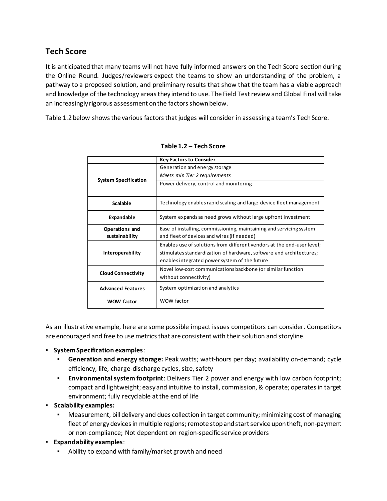## **Tech Score**

It is anticipated that many teams will not have fully informed answers on the Tech Score section during the Online Round. Judges/reviewers expect the teams to show an understanding of the problem, a pathway to a proposed solution, and preliminary results that show that the team has a viable approach and knowledge of the technology areas they intend to use. The Field Test review and Global Final will take an increasingly rigorous assessment on the factors shown below.

Table 1.2 below shows the various factors that judges will consider in assessing a team's Tech Score.

|                             | <b>Key Factors to Consider</b>                                         |
|-----------------------------|------------------------------------------------------------------------|
|                             | Generation and energy storage                                          |
|                             | Meets min Tier 2 requirements                                          |
| <b>System Specification</b> | Power delivery, control and monitoring                                 |
|                             |                                                                        |
| Scalable                    | Technology enables rapid scaling and large device fleet management     |
| Expandable                  | System expands as need grows without large upfront investment          |
| Operations and              | Ease of installing, commissioning, maintaining and servicing system    |
| sustainability              | and fleet of devices and wires (if needed)                             |
|                             | Enables use of solutions from different vendors at the end-user level; |
| Interoperability            | stimulates standardization of hardware, software and architectures;    |
|                             | enables integrated power system of the future                          |
|                             | Novel low-cost communications backbone (or similar function            |
| <b>Cloud Connectivity</b>   | without connectivity)                                                  |
| <b>Advanced Features</b>    | System optimization and analytics                                      |
| <b>WOW factor</b>           | WOW factor                                                             |

**Table 1.2 – Tech Score**

As an illustrative example, here are some possible impact issues competitors can consider. Competitors are encouraged and free to use metrics that are consistent with their solution and storyline.

- **System Specification examples**:
	- Generation and energy storage: Peak watts; watt-hours per day; availability on-demand; cycle efficiency, life, charge-discharge cycles, size, safety
	- **Environmental system footprint**: Delivers Tier 2 power and energy with low carbon footprint; compact and lightweight; easy and intuitive to install, commission, & operate; operates in target environment; fully recyclable at the end of life
- **Scalability examples:** 
	- Measurement, bill delivery and dues collection in target community; minimizing cost of managing fleet of energy devices in multiple regions; remote stop and start service upon theft, non-payment or non-compliance; Not dependent on region-specific service providers
- **Expandability examples**:
	- Ability to expand with family/market growth and need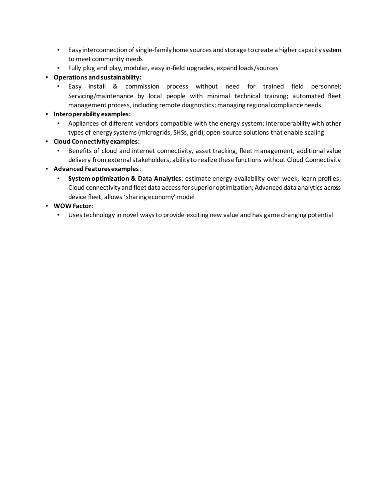- Easy interconnection of single-family home sources and storage to create a higher capacity system to meet community needs
- Fully plug and play, modular, easy in-field upgrades, expand loads/sources
- **Operations and sustainability:**
	- Easy install & commission process without need for trained field personnel; Servicing/maintenance by local people with minimal technical training; automated fleet management process, including remote diagnostics; managing regional compliance needs
- **Interoperability examples:**
	- Appliances of different vendors compatible with the energy system; interoperability with other types of energy systems (microgrids, SHSs, grid); open-source solutions that enable scaling
- **Cloud Connectivity examples:**
	- Benefits of cloud and internet connectivity, asset tracking, fleet management, additional value delivery from external stakeholders, ability to realize these functions without Cloud Connectivity
- **Advanced Features examples**:
	- **System optimization & Data Analytics**: estimate energy availability over week, learn profiles; Cloud connectivity and fleet data access for superior optimization; Advanced data analytics across device fleet, allows 'sharing economy' model
- **WOW Factor**:
	- Uses technology in novel ways to provide exciting new value and has game changing potential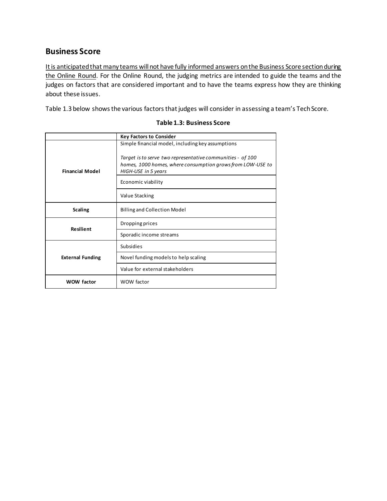#### **Business Score**

It is anticipated that many teams will not have fully informed answers on the Business Score section during the Online Round. For the Online Round, the judging metrics are intended to guide the teams and the judges on factors that are considered important and to have the teams express how they are thinking about these issues.

Table 1.3 below shows the various factors that judges will consider in assessing a team's Tech Score.

|                         | <b>Key Factors to Consider</b>                                                                                                                                                                       |  |
|-------------------------|------------------------------------------------------------------------------------------------------------------------------------------------------------------------------------------------------|--|
| <b>Financial Model</b>  | Simple financial model, including key assumptions<br>Target is to serve two representative communities - of 100<br>homes, 1000 homes, where consumption grows from LOW-USE to<br>HIGH-USE in 5 years |  |
|                         | Economic viability                                                                                                                                                                                   |  |
|                         | Value Stacking                                                                                                                                                                                       |  |
| <b>Scaling</b>          | Billing and Collection Model                                                                                                                                                                         |  |
| <b>Resilient</b>        | Dropping prices                                                                                                                                                                                      |  |
|                         | Sporadic income streams                                                                                                                                                                              |  |
|                         | <b>Subsidies</b>                                                                                                                                                                                     |  |
| <b>External Funding</b> | Novel funding models to help scaling                                                                                                                                                                 |  |
|                         | Value for external stakeholders                                                                                                                                                                      |  |
| <b>WOW factor</b>       | WOW factor                                                                                                                                                                                           |  |

#### **Table 1.3: Business Score**